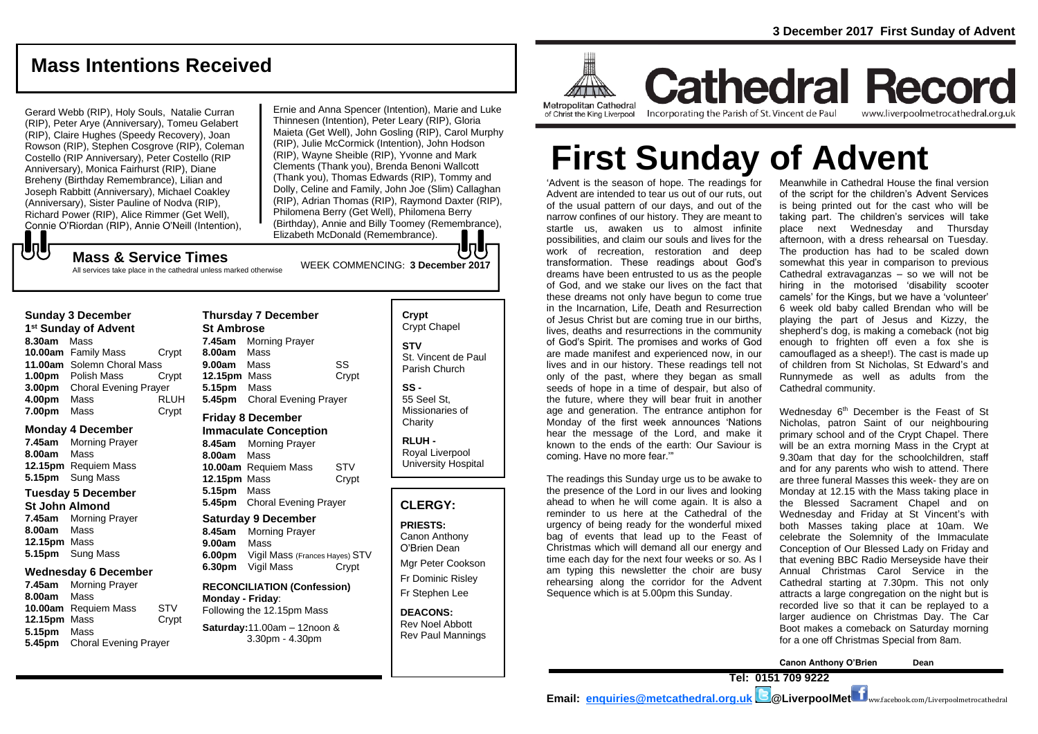# **Mass Intentions Received**

Gerard Webb (RIP), Holy Souls, Natalie Curran (RIP), Peter Arye (Anniversary), Tomeu Gelabert (RIP), Claire Hughes (Speedy Recovery), Joan Rowson (RIP), Stephen Cosgrove (RIP), Coleman Costello (RIP Anniversary), Peter Costello (RIP Anniversary), Monica Fairhurst (RIP), Diane Breheny (Birthday Remembrance), Lilian and Joseph Rabbitt (Anniversary), Michael Coakley (Anniversary), Sister Pauline of Nodva (RIP), Richard Power (RIP), Alice Rimmer (Get Well), Connie O'Riordan (RIP), Annie O'Neill (Intention),

WEEK COMMENCING: **3 December <sup>2017</sup> Mass & Service Times** Ernie and Anna Spencer (Intention), Marie and Luke Thinnesen (Intention), Peter Leary (RIP), Gloria Maieta (Get Well), John Gosling (RIP), Carol Murphy (RIP), Julie McCormick (Intention), John Hodson (RIP), Wayne Sheible (RIP), Yvonne and Mark Clements (Thank you), Brenda Benoni Wallcott (Thank you), Thomas Edwards (RIP), Tommy and Dolly, Celine and Family, John Joe (Slim) Callaghan (RIP), Adrian Thomas (RIP), Raymond Daxter (RIP), Philomena Berry (Get Well), Philomena Berry (Birthday), Annie and Billy Toomey (Remembrance), Elizabeth McDonald (Remembrance).

# もし

All services take place in the cathedral unless marked otherwise

#### **Sunday 3 December**

**1 st Sunday of Advent 8.30am** Mass **10.00am** Family Mass Crypt **11.00am** Solemn Choral Mass **1.00pm** Polish Mass Crypt **3.00pm** Choral Evening Prayer **4.00pm** Mass RLUH **7.00pm** Mass Crypt

#### **Monday 4 December**

- **7.45am** Morning Prayer **8.00am** Mass **12.15pm** Requiem Mass **5.15pm** Sung Mass **Tuesday 5 December St John Almond 7.45am** Morning Prayer
- **8.00am** Mass **12.15pm** Mass **5.15pm** Sung Mass

### **Wednesday 6 December**

**7.45am** Morning Prayer **8.00am** Mass **10.00am** Requiem Mass STV **12.15pm** Mass Crypt **5.15pm** Mass **5.45pm** Choral Evening Prayer

**Thursday 7 December St Ambrose 7.45am** Morning Prayer **8.00am** Mass **9.00am** Mass SS **12.15pm** Mass Crypt **5.15pm** Mass **5.45pm** Choral Evening Prayer **Friday 8 December**

#### **Immaculate Conception**

**8.45am** Morning Prayer **8.00am** Mass **10.00am** Requiem Mass STV **12.15pm** Mass Crypt **5.15pm** Mass **5.45pm** Choral Evening Prayer

# **Saturday 9 December 8.45am** Morning Prayer

**9.00am** Mass **6.00pm** Vigil Mass (Frances Hayes) STV **6.30pm** Vigil Mass Crypt

**RECONCILIATION (Confession) Monday - Friday**: Following the 12.15pm Mass

## **Saturday:**11.00am – 12noon & 3.30pm - 4.30pm

**Crypt**  Crypt Chapel **STV** St. Vincent de Paul Parish Church **SS -**

55 Seel St, Missionaries of **Charity** 

**RLUH -** Royal Liverpool University Hospital

## **CLERGY:**

**PRIESTS:** Canon Anthony O'Brien *Dean*

Mgr Peter Cookson Fr Dominic Risley Fr Stephen Lee

**DEACONS:** Rev Noel Abbott Rev Paul Mannings



**Cathedral Record** Incorporating the Parish of St. Vincent de Paul www.liverpoolmetrocathedral.org.uk

# **First Sunday of Advent**

'Advent is the season of hope. The readings for Advent are intended to tear us out of our ruts, out of the usual pattern of our days, and out of the narrow confines of our history. They are meant to startle us, awaken us to almost infinite possibilities, and claim our souls and lives for the work of recreation, restoration and deep transformation. These readings about God's dreams have been entrusted to us as the people of God, and we stake our lives on the fact that these dreams not only have begun to come true in the Incarnation, Life, Death and Resurrection of Jesus Christ but are coming true in our births, lives, deaths and resurrections in the community of God's Spirit. The promises and works of God are made manifest and experienced now, in our lives and in our history. These readings tell not only of the past, where they began as small seeds of hope in a time of despair, but also of the future, where they will bear fruit in another age and generation. The entrance antiphon for Monday of the first week announces 'Nations hear the message of the Lord, and make it known to the ends of the earth: Our Saviour is coming. Have no more fear.'"

The readings this Sunday urge us to be awake to the presence of the Lord in our lives and looking ahead to when he will come again. It is also a reminder to us here at the Cathedral of the urgency of being ready for the wonderful mixed bag of events that lead up to the Feast of Christmas which will demand all our energy and time each day for the next four weeks or so. As I am typing this newsletter the choir are busy rehearsing along the corridor for the Advent Sequence which is at 5.00pm this Sunday.

Meanwhile in Cathedral House the final version of the script for the children's Advent Services is being printed out for the cast who will be taking part. The children's services will take place next Wednesday and Thursday afternoon, with a dress rehearsal on Tuesday. The production has had to be scaled down somewhat this year in comparison to previous Cathedral extravaganzas – so we will not be hiring in the motorised 'disability scooter camels' for the Kings, but we have a 'volunteer' 6 week old baby called Brendan who will be playing the part of Jesus and Kizzy, the shepherd's dog, is making a comeback (not big enough to frighten off even a fox she is camouflaged as a sheep!). The cast is made up of children from St Nicholas, St Edward's and Runnymede as well as adults from the Cathedral community.

Wednesday 6<sup>th</sup> December is the Feast of St Nicholas, patron Saint of our neighbouring primary school and of the Crypt Chapel. There will be an extra morning Mass in the Crypt at 9.30am that day for the schoolchildren, staff and for any parents who wish to attend. There are three funeral Masses this week- they are on Monday at 12.15 with the Mass taking place in the Blessed Sacrament Chapel and on Wednesday and Friday at St Vincent's with both Masses taking place at 10am. We celebrate the Solemnity of the Immaculate Conception of Our Blessed Lady on Friday and that evening BBC Radio Merseyside have their Annual Christmas Carol Service in the Cathedral starting at 7.30pm. This not only attracts a large congregation on the night but is recorded live so that it can be replayed to a larger audience on Christmas Day. The Car Boot makes a comeback on Saturday morning for a one off Christmas Special from 8am.

**Canon Anthony O'Brien Dean Tel: 0151 709 9222** 

**Email: [enquiries@metcathedral.org.uk](mailto:enquiries@metcathedral.org.uk) @LiverpoolMet** ww.facebook.com/Liverpoolmetrocathedral